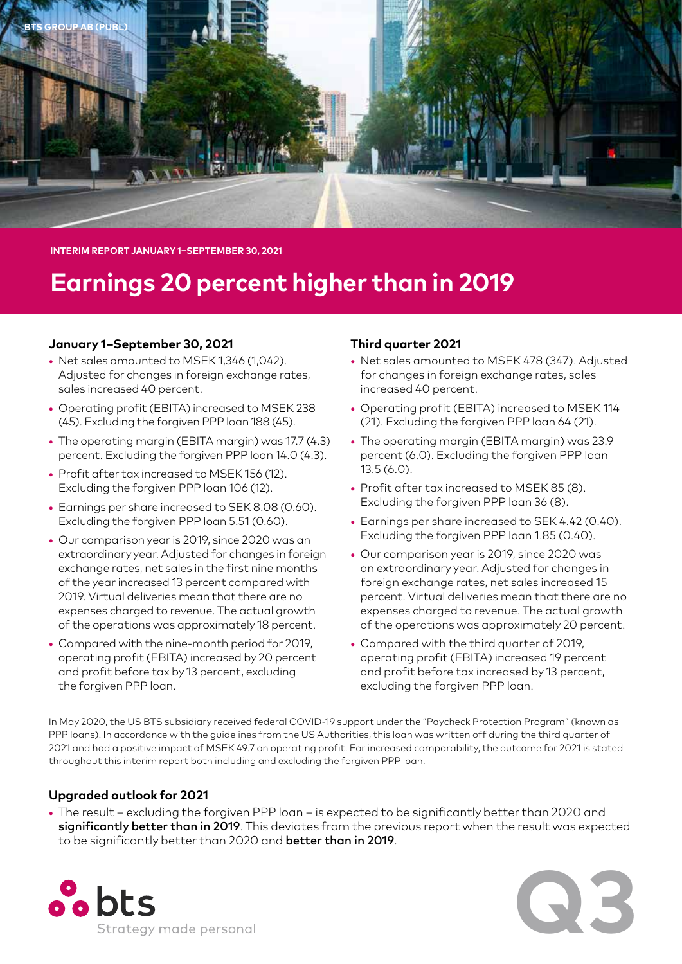

**INTERIM REPORT JANUARY 1–SEPTEMBER 30, 2021**

# **Earnings 20 percent higher than in 2019**

# **January 1–September 30, 2021**

- **•** Net sales amounted to MSEK 1,346 (1,042). Adjusted for changes in foreign exchange rates, sales increased 40 percent.
- **•** Operating profit (EBITA) increased to MSEK 238 (45). Excluding the forgiven PPP loan 188 (45).
- **•** The operating margin (EBITA margin) was 17.7 (4.3) percent. Excluding the forgiven PPP loan 14.0 (4.3).
- **•** Profit after tax increased to MSEK 156 (12). Excluding the forgiven PPP loan 106 (12).
- **•** Earnings per share increased to SEK 8.08 (0.60). Excluding the forgiven PPP loan 5.51 (0.60).
- **•** Our comparison year is 2019, since 2020 was an extraordinary year. Adjusted for changes in foreign exchange rates, net sales in the first nine months of the year increased 13 percent compared with 2019. Virtual deliveries mean that there are no expenses charged to revenue. The actual growth of the operations was approximately 18 percent.
- **•** Compared with the nine-month period for 2019, operating profit (EBITA) increased by 20 percent and profit before tax by 13 percent, excluding the forgiven PPP loan.

# **Third quarter 2021**

- **•** Net sales amounted to MSEK 478 (347). Adjusted for changes in foreign exchange rates, sales increased 40 percent.
- **•** Operating profit (EBITA) increased to MSEK 114 (21). Excluding the forgiven PPP loan 64 (21).
- **•** The operating margin (EBITA margin) was 23.9 percent (6.0). Excluding the forgiven PPP loan 13.5 (6.0).
- **•** Profit after tax increased to MSEK 85 (8). Excluding the forgiven PPP loan 36 (8).
- **•** Earnings per share increased to SEK 4.42 (0.40). Excluding the forgiven PPP loan 1.85 (0.40).
- **•** Our comparison year is 2019, since 2020 was an extraordinary year. Adjusted for changes in foreign exchange rates, net sales increased 15 percent. Virtual deliveries mean that there are no expenses charged to revenue. The actual growth of the operations was approximately 20 percent.
- **•** Compared with the third quarter of 2019, operating profit (EBITA) increased 19 percent and profit before tax increased by 13 percent, excluding the forgiven PPP loan.

In May 2020, the US BTS subsidiary received federal COVID-19 support under the "Paycheck Protection Program" (known as PPP loans). In accordance with the guidelines from the US Authorities, this loan was written off during the third quarter of 2021 and had a positive impact of MSEK 49.7 on operating profit. For increased comparability, the outcome for 2021 is stated throughout this interim report both including and excluding the forgiven PPP loan.

# **Upgraded outlook for 2021**

**•** The result – excluding the forgiven PPP loan – is expected to be significantly better than 2020 and significantly better than in 2019. This deviates from the previous report when the result was expected to be significantly better than 2020 and better than in 2019.



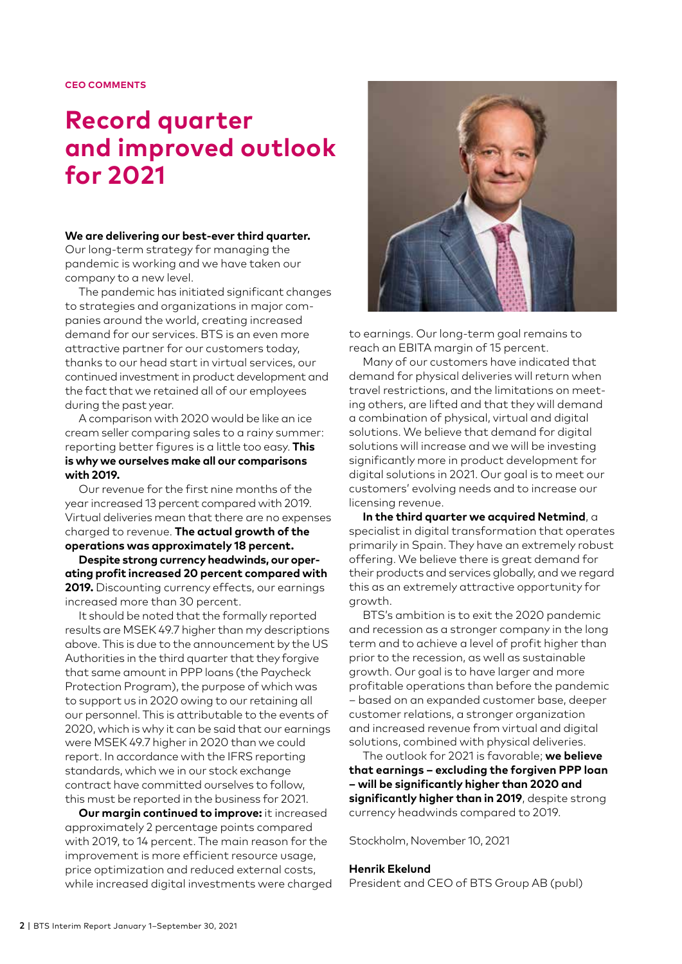# **Record quarter and improved outlook for 2021**

# **We are delivering our best-ever third quarter.**

Our long-term strategy for managing the pandemic is working and we have taken our company to a new level.

The pandemic has initiated significant changes to strategies and organizations in major companies around the world, creating increased demand for our services. BTS is an even more attractive partner for our customers today, thanks to our head start in virtual services, our continued investment in product development and the fact that we retained all of our employees during the past year.

A comparison with 2020 would be like an ice cream seller comparing sales to a rainy summer: reporting better figures is a little too easy. **This is why we ourselves make all our comparisons with 2019.**

Our revenue for the first nine months of the year increased 13 percent compared with 2019. Virtual deliveries mean that there are no expenses charged to revenue. **The actual growth of the operations was approximately 18 percent.**

**Despite strong currency headwinds, our operating profit increased 20 percent compared with 2019.** Discounting currency effects, our earnings increased more than 30 percent.

It should be noted that the formally reported results are MSEK 49.7 higher than my descriptions above. This is due to the announcement by the US Authorities in the third quarter that they forgive that same amount in PPP loans (the Paycheck Protection Program), the purpose of which was to support us in 2020 owing to our retaining all our personnel. This is attributable to the events of 2020, which is why it can be said that our earnings were MSEK 49.7 higher in 2020 than we could report. In accordance with the IFRS reporting standards, which we in our stock exchange contract have committed ourselves to follow, this must be reported in the business for 2021.

**Our margin continued to improve:** it increased approximately 2 percentage points compared with 2019, to 14 percent. The main reason for the improvement is more efficient resource usage, price optimization and reduced external costs, while increased digital investments were charged



to earnings. Our long-term goal remains to reach an EBITA margin of 15 percent.

Many of our customers have indicated that demand for physical deliveries will return when travel restrictions, and the limitations on meeting others, are lifted and that they will demand a combination of physical, virtual and digital solutions. We believe that demand for digital solutions will increase and we will be investing significantly more in product development for digital solutions in 2021. Our goal is to meet our customers' evolving needs and to increase our licensing revenue.

**In the third quarter we acquired Netmind**, a specialist in digital transformation that operates primarily in Spain. They have an extremely robust offering. We believe there is great demand for their products and services globally, and we regard this as an extremely attractive opportunity for growth.

BTS's ambition is to exit the 2020 pandemic and recession as a stronger company in the long term and to achieve a level of profit higher than prior to the recession, as well as sustainable growth. Our goal is to have larger and more profitable operations than before the pandemic – based on an expanded customer base, deeper customer relations, a stronger organization and increased revenue from virtual and digital solutions, combined with physical deliveries.

The outlook for 2021 is favorable; **we believe that earnings – excluding the forgiven PPP loan – will be significantly higher than 2020 and significantly higher than in 2019**, despite strong currency headwinds compared to 2019.

Stockholm, November 10, 2021

# **Henrik Ekelund**

President and CEO of BTS Group AB (publ)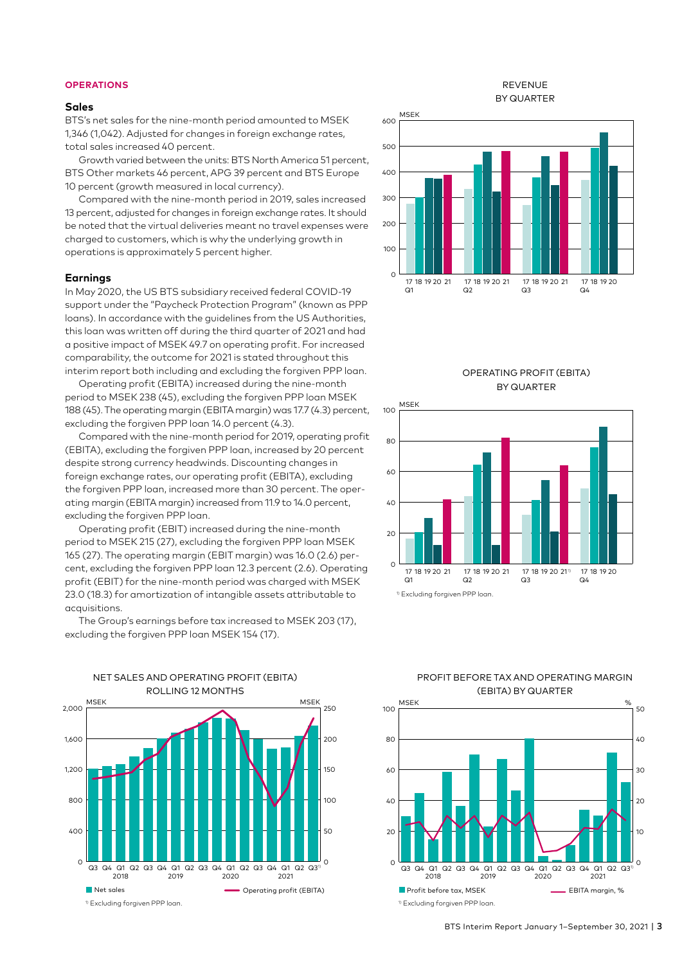# **OPERATIONS**

#### **Sales**

BTS's net sales for the nine-month period amounted to MSEK 1,346 (1,042). Adjusted for changes in foreign exchange rates, total sales increased 40 percent.

Growth varied between the units: BTS North America 51 percent, BTS Other markets 46 percent, APG 39 percent and BTS Europe 10 percent (growth measured in local currency).

Compared with the nine-month period in 2019, sales increased 13 percent, adjusted for changes in foreign exchange rates. It should be noted that the virtual deliveries meant no travel expenses were charged to customers, which is why the underlying growth in operations is approximately 5 percent higher.

#### **Earnings**

In May 2020, the US BTS subsidiary received federal COVID-19 support under the "Paycheck Protection Program" (known as PPP loans). In accordance with the guidelines from the US Authorities, this loan was written off during the third quarter of 2021 and had a positive impact of MSEK 49.7 on operating profit. For increased comparability, the outcome for 2021 is stated throughout this interim report both including and excluding the forgiven PPP loan.

Operating profit (EBITA) increased during the nine-month period to MSEK 238 (45), excluding the forgiven PPP loan MSEK 188 (45). The operating margin (EBITA margin) was 17.7 (4.3) percent, excluding the forgiven PPP loan 14.0 percent (4.3).

Compared with the nine-month period for 2019, operating profit (EBITA), excluding the forgiven PPP loan, increased by 20 percent despite strong currency headwinds. Discounting changes in foreign exchange rates, our operating profit (EBITA), excluding the forgiven PPP loan, increased more than 30 percent. The operating margin (EBITA margin) increased from 11.9 to 14.0 percent, excluding the forgiven PPP loan.

Operating profit (EBIT) increased during the nine-month period to MSEK 215 (27), excluding the forgiven PPP loan MSEK 165 (27). The operating margin (EBIT margin) was 16.0 (2.6) percent, excluding the forgiven PPP loan 12.3 percent (2.6). Operating profit (EBIT) for the nine-month period was charged with MSEK 23.0 (18.3) for amortization of intangible assets attributable to acquisitions.



The Group's earnings before tax increased to MSEK 203 (17), excluding the forgiven PPP loan MSEK 154 (17).

REVENUE BY QUARTER









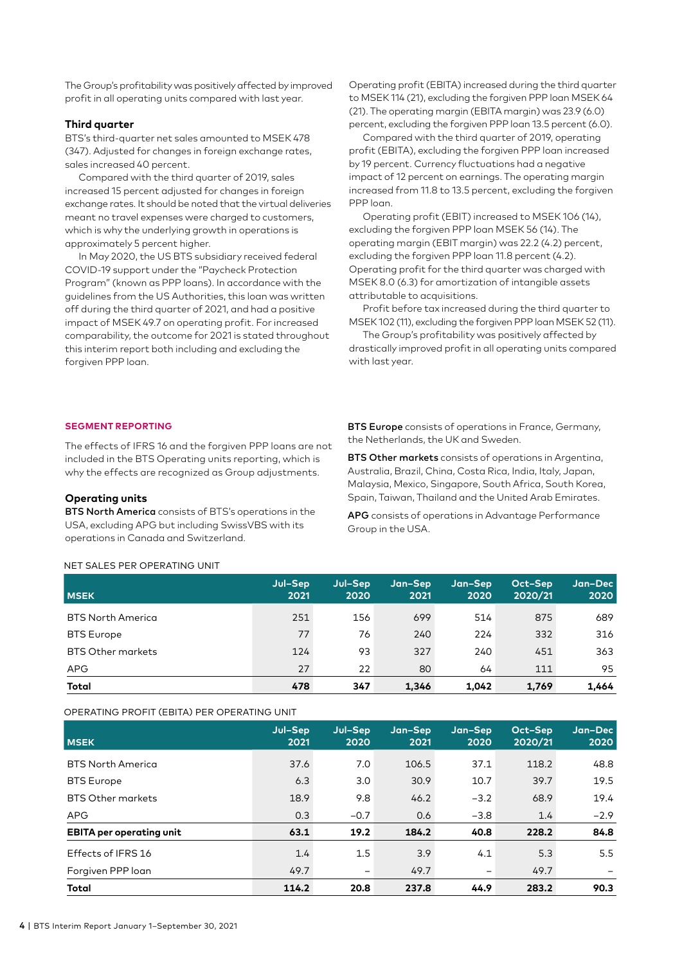The Group's profitability was positively affected by improved profit in all operating units compared with last year.

# **Third quarter**

BTS's third-quarter net sales amounted to MSEK 478 (347). Adjusted for changes in foreign exchange rates, sales increased 40 percent.

Compared with the third quarter of 2019, sales increased 15 percent adjusted for changes in foreign exchange rates. It should be noted that the virtual deliveries meant no travel expenses were charged to customers, which is why the underlying growth in operations is approximately 5 percent higher.

In May 2020, the US BTS subsidiary received federal COVID-19 support under the "Paycheck Protection Program" (known as PPP loans). In accordance with the guidelines from the US Authorities, this loan was written off during the third quarter of 2021, and had a positive impact of MSEK 49.7 on operating profit. For increased comparability, the outcome for 2021 is stated throughout this interim report both including and excluding the forgiven PPP loan.

Operating profit (EBITA) increased during the third quarter to MSEK 114 (21), excluding the forgiven PPP loan MSEK 64 (21). The operating margin (EBITA margin) was 23.9 (6.0) percent, excluding the forgiven PPP loan 13.5 percent (6.0).

Compared with the third quarter of 2019, operating profit (EBITA), excluding the forgiven PPP loan increased by 19 percent. Currency fluctuations had a negative impact of 12 percent on earnings. The operating margin increased from 11.8 to 13.5 percent, excluding the forgiven PPP loan.

Operating profit (EBIT) increased to MSEK 106 (14), excluding the forgiven PPP loan MSEK 56 (14). The operating margin (EBIT margin) was 22.2 (4.2) percent, excluding the forgiven PPP loan 11.8 percent (4.2). Operating profit for the third quarter was charged with MSEK 8.0 (6.3) for amortization of intangible assets attributable to acquisitions.

Profit before tax increased during the third quarter to MSEK 102 (11), excluding the forgiven PPP loan MSEK 52 (11).

The Group's profitability was positively affected by drastically improved profit in all operating units compared with last year.

#### **SEGMENT REPORTING**

The effects of IFRS 16 and the forgiven PPP loans are not included in the BTS Operating units reporting, which is why the effects are recognized as Group adjustments.

#### **Operating units**

BTS North America consists of BTS's operations in the USA, excluding APG but including SwissVBS with its operations in Canada and Switzerland.

**BTS Europe** consists of operations in France, Germany, the Netherlands, the UK and Sweden.

**BTS Other markets** consists of operations in Argentina, Australia, Brazil, China, Costa Rica, India, Italy, Japan, Malaysia, Mexico, Singapore, South Africa, South Korea, Spain, Taiwan, Thailand and the United Arab Emirates.

APG consists of operations in Advantage Performance Group in the USA.

#### NET SALES PER OPERATING UNIT

**MSEK Jul–Sep 2021 Jul–Sep 2020 Jan–Sep 2021 Jan–Sep 2020 Oct–Sep 2020/21 Jan–Dec 2020** BTS North America 251 156 699 514 875 689 BTS Europe 77 76 240 224 332 316 BTS Other markets 124 93 327 240 451 363 APG 27 22 80 64 111 95 **Total 478 347 1,346 1,042 1,769 1,464**

OPERATING PROFIT (EBITA) PER OPERATING UNIT

| <b>MSEK</b>                     | Jul-Sep<br>2021 | Jul-Sep<br>2020          | Jan-Sep<br>2021 | Jan-Sep<br>2020 | Oct-Sep<br>2020/21 | Jan-Dec<br>2020 |
|---------------------------------|-----------------|--------------------------|-----------------|-----------------|--------------------|-----------------|
| <b>BTS North America</b>        | 37.6            | 7.0                      | 106.5           | 37.1            | 118.2              | 48.8            |
| <b>BTS</b> Europe               | 6.3             | 3.0                      | 30.9            | 10.7            | 39.7               | 19.5            |
| <b>BTS Other markets</b>        | 18.9            | 9.8                      | 46.2            | $-3.2$          | 68.9               | 19.4            |
| <b>APG</b>                      | 0.3             | $-0.7$                   | 0.6             | $-3.8$          | 1.4                | $-2.9$          |
| <b>EBITA</b> per operating unit | 63.1            | 19.2                     | 184.2           | 40.8            | 228.2              | 84.8            |
| Effects of IFRS 16              | 1.4             | 1.5                      | 3.9             | 4.1             | 5.3                | 5.5             |
| Forgiven PPP loan               | 49.7            | $\overline{\phantom{0}}$ | 49.7            |                 | 49.7               |                 |
| Total                           | 114.2           | 20.8                     | 237.8           | 44.9            | 283.2              | 90.3            |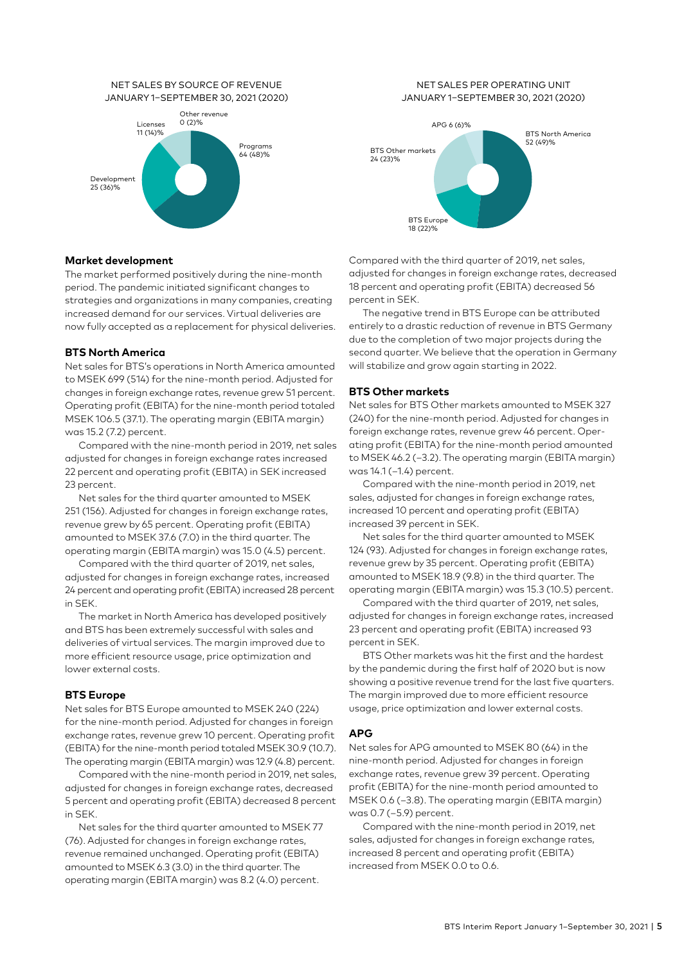#### NET SALES BY SOURCE OF REVENUE JANUARY 1–SEPTEMBER 30, 2021 (2020)



# **Market development**

The market performed positively during the nine-month period. The pandemic initiated significant changes to strategies and organizations in many companies, creating increased demand for our services. Virtual deliveries are now fully accepted as a replacement for physical deliveries.

# **BTS North America**

Net sales for BTS's operations in North America amounted to MSEK 699 (514) for the nine-month period. Adjusted for changes in foreign exchange rates, revenue grew 51 percent. Operating profit (EBITA) for the nine-month period totaled MSEK 106.5 (37.1). The operating margin (EBITA margin) was 15.2 (7.2) percent.

Compared with the nine-month period in 2019, net sales adjusted for changes in foreign exchange rates increased 22 percent and operating profit (EBITA) in SEK increased 23 percent.

Net sales for the third quarter amounted to MSEK 251 (156). Adjusted for changes in foreign exchange rates, revenue grew by 65 percent. Operating profit (EBITA) amounted to MSEK 37.6 (7.0) in the third quarter. The operating margin (EBITA margin) was 15.0 (4.5) percent.

Compared with the third quarter of 2019, net sales, adjusted for changes in foreign exchange rates, increased 24 percent and operating profit (EBITA) increased 28 percent in SEK.

The market in North America has developed positively and BTS has been extremely successful with sales and deliveries of virtual services. The margin improved due to more efficient resource usage, price optimization and lower external costs.

# **BTS Europe**

Net sales for BTS Europe amounted to MSEK 240 (224) for the nine-month period. Adjusted for changes in foreign exchange rates, revenue grew 10 percent. Operating profit (EBITA) for the nine-month period totaled MSEK 30.9 (10.7). The operating margin (EBITA margin) was 12.9 (4.8) percent.

Compared with the nine-month period in 2019, net sales, adjusted for changes in foreign exchange rates, decreased 5 percent and operating profit (EBITA) decreased 8 percent in SEK.

Net sales for the third quarter amounted to MSEK 77 (76). Adjusted for changes in foreign exchange rates, revenue remained unchanged. Operating profit (EBITA) amounted to MSEK 6.3 (3.0) in the third quarter. The operating margin (EBITA margin) was 8.2 (4.0) percent.

# NET SALES PER OPERATING UNIT JANUARY 1–SEPTEMBER 30, 2021 (2020)



Compared with the third quarter of 2019, net sales, adjusted for changes in foreign exchange rates, decreased 18 percent and operating profit (EBITA) decreased 56 percent in SEK.

The negative trend in BTS Europe can be attributed entirely to a drastic reduction of revenue in BTS Germany due to the completion of two major projects during the second quarter. We believe that the operation in Germany will stabilize and grow again starting in 2022.

# **BTS Other markets**

Net sales for BTS Other markets amounted to MSEK 327 (240) for the nine-month period. Adjusted for changes in foreign exchange rates, revenue grew 46 percent. Operating profit (EBITA) for the nine-month period amounted to MSEK 46.2 (–3.2). The operating margin (EBITA margin) was 14.1 (–1.4) percent.

Compared with the nine-month period in 2019, net sales, adjusted for changes in foreign exchange rates, increased 10 percent and operating profit (EBITA) increased 39 percent in SEK.

Net sales for the third quarter amounted to MSEK 124 (93). Adjusted for changes in foreign exchange rates, revenue grew by 35 percent. Operating profit (EBITA) amounted to MSEK 18.9 (9.8) in the third quarter. The operating margin (EBITA margin) was 15.3 (10.5) percent.

Compared with the third quarter of 2019, net sales, adjusted for changes in foreign exchange rates, increased 23 percent and operating profit (EBITA) increased 93 percent in SEK.

BTS Other markets was hit the first and the hardest by the pandemic during the first half of 2020 but is now showing a positive revenue trend for the last five quarters. The margin improved due to more efficient resource usage, price optimization and lower external costs.

# **APG**

Net sales for APG amounted to MSEK 80 (64) in the nine-month period. Adjusted for changes in foreign exchange rates, revenue grew 39 percent. Operating profit (EBITA) for the nine-month period amounted to MSEK 0.6 (–3.8). The operating margin (EBITA margin) was 0.7 (–5.9) percent.

Compared with the nine-month period in 2019, net sales, adjusted for changes in foreign exchange rates, increased 8 percent and operating profit (EBITA) increased from MSEK 0.0 to 0.6.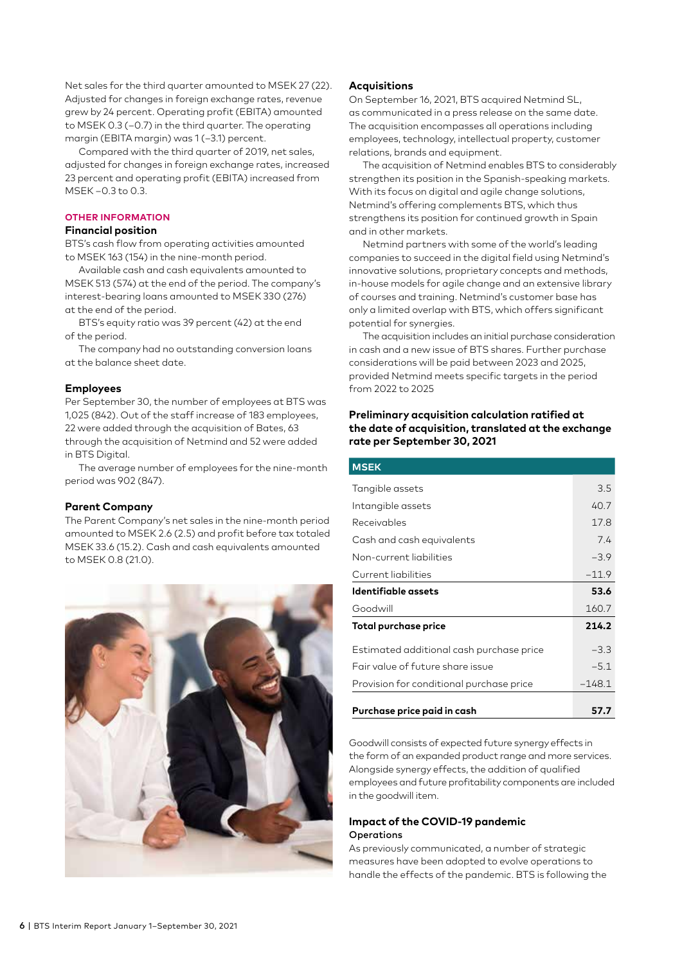Net sales for the third quarter amounted to MSEK 27 (22). Adjusted for changes in foreign exchange rates, revenue grew by 24 percent. Operating profit (EBITA) amounted to MSEK 0.3 (–0.7) in the third quarter. The operating margin (EBITA margin) was 1 (-3.1) percent.

Compared with the third quarter of 2019, net sales, adjusted for changes in foreign exchange rates, increased 23 percent and operating profit (EBITA) increased from MSEK –0.3 to 0.3.

### **OTHER INFORMATION**

# **Financial position**

BTS's cash flow from operating activities amounted to MSEK 163 (154) in the nine-month period.

Available cash and cash equivalents amounted to MSEK 513 (574) at the end of the period. The company's interest-bearing loans amounted to MSEK 330 (276) at the end of the period.

BTS's equity ratio was 39 percent (42) at the end of the period.

The company had no outstanding conversion loans at the balance sheet date.

# **Employees**

Per September 30, the number of employees at BTS was 1,025 (842). Out of the staff increase of 183 employees, 22 were added through the acquisition of Bates, 63 through the acquisition of Netmind and 52 were added in BTS Digital.

The average number of employees for the nine-month period was 902 (847).

#### **Parent Company**

The Parent Company's net sales in the nine-month period amounted to MSEK 2.6 (2.5) and profit before tax totaled MSEK 33.6 (15.2). Cash and cash equivalents amounted to MSEK 0.8 (21.0).



# **Acquisitions**

On September 16, 2021, BTS acquired Netmind SL, as communicated in a press release on the same date. The acquisition encompasses all operations including employees, technology, intellectual property, customer relations, brands and equipment.

The acquisition of Netmind enables BTS to considerably strengthen its position in the Spanish-speaking markets. With its focus on digital and agile change solutions, Netmind's offering complements BTS, which thus strengthens its position for continued growth in Spain and in other markets.

Netmind partners with some of the world's leading companies to succeed in the digital field using Netmind's innovative solutions, proprietary concepts and methods, in-house models for agile change and an extensive library of courses and training. Netmind's customer base has only a limited overlap with BTS, which offers significant potential for synergies.

The acquisition includes an initial purchase consideration in cash and a new issue of BTS shares. Further purchase considerations will be paid between 2023 and 2025, provided Netmind meets specific targets in the period from 2022 to 2025

# **Preliminary acquisition calculation ratified at the date of acquisition, translated at the exchange rate per September 30, 2021**

| <b>MSEK</b>                              |          |
|------------------------------------------|----------|
| Tangible assets                          | 3.5      |
| Intangible assets                        | 40.7     |
| Receivables                              | 17.8     |
| Cash and cash equivalents                | 74       |
| Non-current liabilities                  | $-3.9$   |
| Current liabilities                      | $-11.9$  |
| Identifiable assets                      | 53.6     |
| Goodwill                                 | 160.7    |
| Total purchase price                     | 214.2    |
| Estimated additional cash purchase price | $-3.3$   |
| Eair value of future share issue         | $-5.1$   |
| Provision for conditional purchase price | $-148.1$ |
| Purchase price paid in cash              | 57.7     |

Goodwill consists of expected future synergy effects in the form of an expanded product range and more services. Alongside synergy effects, the addition of qualified employees and future profitability components are included in the goodwill item.

# **Impact of the COVID-19 pandemic Operations**

As previously communicated, a number of strategic measures have been adopted to evolve operations to handle the effects of the pandemic. BTS is following the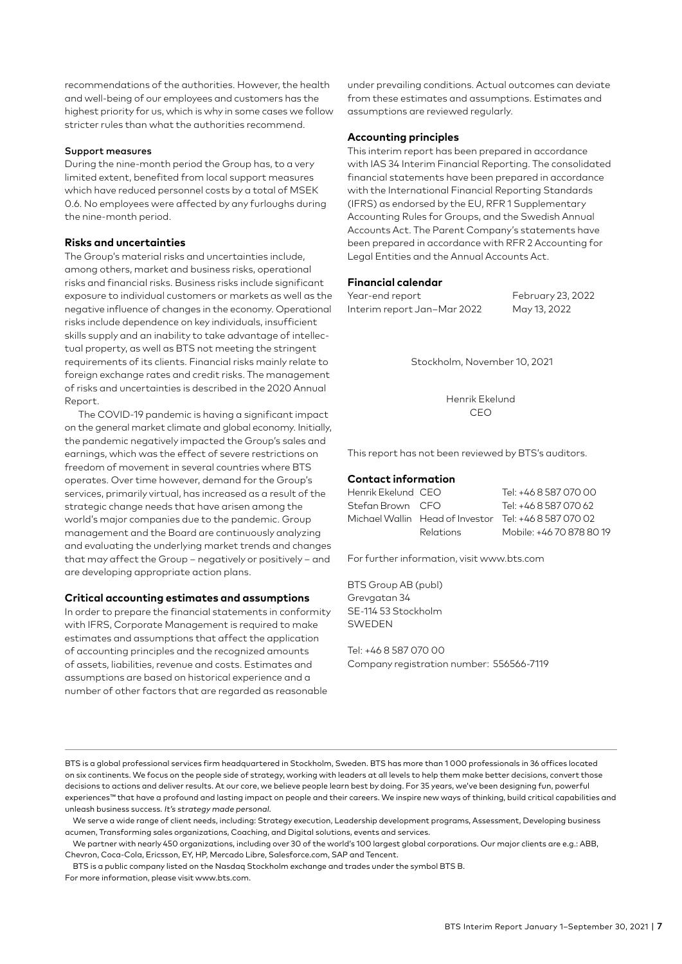recommendations of the authorities. However, the health and well-being of our employees and customers has the highest priority for us, which is why in some cases we follow stricter rules than what the authorities recommend.

# Support measures

During the nine-month period the Group has, to a very limited extent, benefited from local support measures which have reduced personnel costs by a total of MSEK 0.6. No employees were affected by any furloughs during the nine-month period.

# **Risks and uncertainties**

The Group's material risks and uncertainties include, among others, market and business risks, operational risks and financial risks. Business risks include significant exposure to individual customers or markets as well as the negative influence of changes in the economy. Operational risks include dependence on key individuals, insufficient skills supply and an inability to take advantage of intellectual property, as well as BTS not meeting the stringent requirements of its clients. Financial risks mainly relate to foreign exchange rates and credit risks. The management of risks and uncertainties is described in the 2020 Annual Report.

The COVID-19 pandemic is having a significant impact on the general market climate and global economy. Initially, the pandemic negatively impacted the Group's sales and earnings, which was the effect of severe restrictions on freedom of movement in several countries where BTS operates. Over time however, demand for the Group's services, primarily virtual, has increased as a result of the strategic change needs that have arisen among the world's major companies due to the pandemic. Group management and the Board are continuously analyzing and evaluating the underlying market trends and changes that may affect the Group – negatively or positively – and are developing appropriate action plans.

# **Critical accounting estimates and assumptions**

In order to prepare the financial statements in conformity with IFRS, Corporate Management is required to make estimates and assumptions that affect the application of accounting principles and the recognized amounts of assets, liabilities, revenue and costs. Estimates and assumptions are based on historical experience and a number of other factors that are regarded as reasonable

under prevailing conditions. Actual outcomes can deviate from these estimates and assumptions. Estimates and assumptions are reviewed regularly.

# **Accounting principles**

This interim report has been prepared in accordance with IAS 34 Interim Financial Reporting. The consolidated financial statements have been prepared in accordance with the International Financial Reporting Standards (IFRS) as endorsed by the EU, RFR 1 Supplementary Accounting Rules for Groups, and the Swedish Annual Accounts Act. The Parent Company's statements have been prepared in accordance with RFR 2 Accounting for Legal Entities and the Annual Accounts Act.

# **Financial calendar**

Year-end report February 23, 2022 Interim report Jan–Mar 2022 May 13, 2022

Stockholm, November 10, 2021

Henrik Ekelund CEO

This report has not been reviewed by BTS's auditors.

# **Contact information**

| Henrik Ekelund CEO |                  | Tel: +46 8 587 070 00                                 |
|--------------------|------------------|-------------------------------------------------------|
| Stefan Brown CFO   |                  | Tel: +46 8 587 070 62                                 |
|                    |                  | Michael Wallin Head of Investor Tel: +46 8 587 070 02 |
|                    | <b>Relations</b> | Mobile: +46 70 878 80 19                              |

For further information, visit www.bts.com

BTS Group AB (publ) Grevgatan 34 SE-114 53 Stockholm SWEDEN

Tel: +46 8 587 070 00 Company registration number: 556566-7119

BTS is a global professional services firm headquartered in Stockholm, Sweden. BTS has more than 1 000 professionals in 36 offices located on six continents. We focus on the people side of strategy, working with leaders at all levels to help them make better decisions, convert those decisions to actions and deliver results. At our core, we believe people learn best by doing. For 35 years, we've been designing fun, powerful experiences™ that have a profound and lasting impact on people and their careers. We inspire new ways of thinking, build critical capabilities and unleash business success. It's strategy made personal.

We serve a wide range of client needs, including: Strategy execution, Leadership development programs, Assessment, Developing business acumen, Transforming sales organizations, Coaching, and Digital solutions, events and services.

We partner with nearly 450 organizations, including over 30 of the world's 100 largest global corporations. Our major clients are e.g.: ABB, Chevron, Coca-Cola, Ericsson, EY, HP, Mercado Libre, Salesforce.com, SAP and Tencent.

BTS is a public company listed on the Nasdaq Stockholm exchange and trades under the symbol BTS B. For more information, please visit www.bts.com.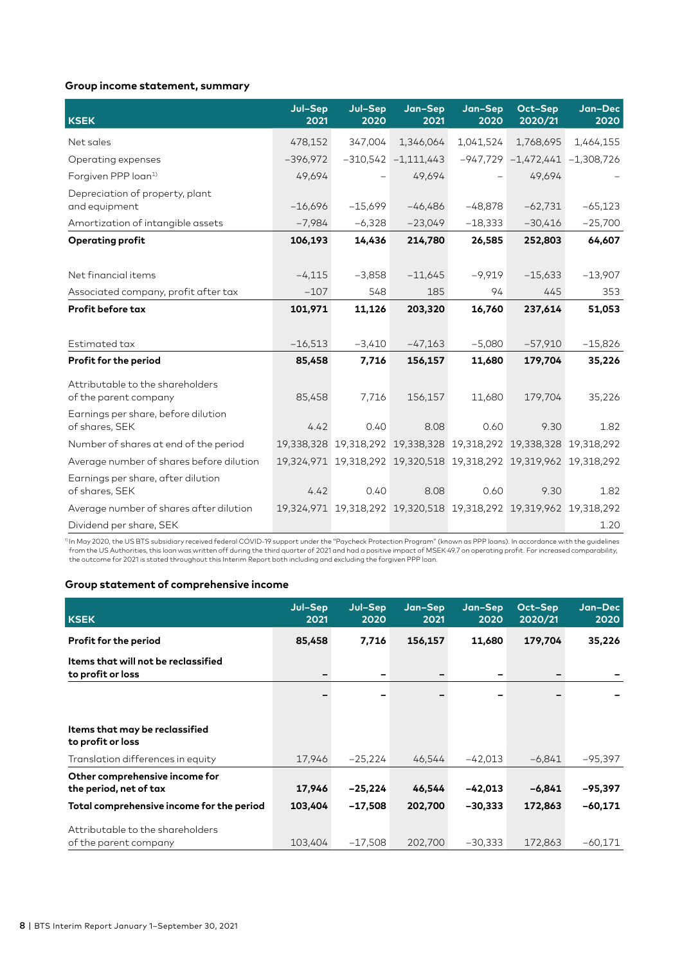# **Group income statement, summary**

| <b>KSEK</b>                                               | Jul-Sep<br>2021 | Jul-Sep<br>2020 | Jan-Sep<br>2021         | Jan-Sep<br>2020          | Oct-Sep<br>2020/21                                                | Jan-Dec<br>2020 |
|-----------------------------------------------------------|-----------------|-----------------|-------------------------|--------------------------|-------------------------------------------------------------------|-----------------|
| Net sales                                                 | 478,152         | 347,004         | 1,346,064               | 1,041,524                | 1,768,695                                                         | 1,464,155       |
| Operating expenses                                        | $-396,972$      |                 | $-310,542$ $-1,111,443$ |                          | $-947,729$ $-1,472,441$ $-1,308,726$                              |                 |
| Forgiven PPP loan <sup>1)</sup>                           | 49,694          |                 | 49,694                  | $\overline{\phantom{0}}$ | 49,694                                                            |                 |
| Depreciation of property, plant<br>and equipment          | $-16,696$       | $-15,699$       | $-46,486$               | $-48,878$                | $-62,731$                                                         | $-65,123$       |
| Amortization of intangible assets                         | $-7,984$        | $-6,328$        | $-23,049$               | $-18,333$                | $-30,416$                                                         | $-25,700$       |
| <b>Operating profit</b>                                   | 106,193         | 14,436          | 214,780                 | 26,585                   | 252,803                                                           | 64,607          |
|                                                           |                 |                 |                         |                          |                                                                   |                 |
| Net financial items                                       | $-4,115$        | $-3,858$        | $-11,645$               | $-9,919$                 | $-15,633$                                                         | $-13,907$       |
| Associated company, profit after tax                      | $-107$          | 548             | 185                     | 94                       | 445                                                               | 353             |
| <b>Profit before tax</b>                                  | 101,971         | 11,126          | 203,320                 | 16,760                   | 237,614                                                           | 51,053          |
|                                                           |                 |                 |                         |                          |                                                                   |                 |
| Estimated tax                                             | $-16,513$       | $-3,410$        | $-47,163$               | $-5,080$                 | $-57,910$                                                         | $-15,826$       |
| Profit for the period                                     | 85,458          | 7,716           | 156,157                 | 11,680                   | 179,704                                                           | 35,226          |
| Attributable to the shareholders<br>of the parent company | 85,458          | 7,716           | 156,157                 | 11,680                   | 179,704                                                           | 35,226          |
| Earnings per share, before dilution<br>of shares, SEK     | 4.42            | 0.40            | 8.08                    | 0.60                     | 9.30                                                              | 1.82            |
| Number of shares at end of the period                     |                 |                 |                         |                          | 19,338,328 19,318,292 19,338,328 19,318,292 19,338,328 19,318,292 |                 |
| Average number of shares before dilution                  |                 |                 |                         |                          | 19,324,971 19,318,292 19,320,518 19,318,292 19,319,962 19,318,292 |                 |
| Earnings per share, after dilution<br>of shares, SEK      | 4.42            | 0.40            | 8.08                    | 0.60                     | 9.30                                                              | 1.82            |
| Average number of shares after dilution                   |                 |                 |                         |                          | 19,324,971 19,318,292 19,320,518 19,318,292 19,319,962 19,318,292 |                 |
| Dividend per share, SEK                                   |                 |                 |                         |                          |                                                                   | 1.20            |

<sup>1)</sup> In May 2020, the US BTS subsidiary received federal COVID-19 support under the "Paycheck Protection Program" (known as PPP loans). In accordance with the guidelines<br>from the US Authorities, this loan was written off d

# **Group statement of comprehensive income**

| <b>KSEK</b>                                               | Jul-Sep<br>2021 | Jul-Sep<br>2020          | Jan-Sep<br>2021 | Jan-Sep<br>2020 | Oct-Sep<br>2020/21 | Jan-Dec<br>2020 |
|-----------------------------------------------------------|-----------------|--------------------------|-----------------|-----------------|--------------------|-----------------|
| Profit for the period                                     | 85,458          | 7,716                    | 156,157         | 11,680          | 179,704            | 35,226          |
| Items that will not be reclassified<br>to profit or loss  |                 | $\overline{\phantom{a}}$ |                 |                 |                    |                 |
|                                                           |                 |                          |                 |                 |                    |                 |
| Items that may be reclassified<br>to profit or loss       |                 |                          |                 |                 |                    |                 |
| Translation differences in equity                         | 17,946          | $-25,224$                | 46,544          | $-42,013$       | $-6,841$           | $-95,397$       |
| Other comprehensive income for<br>the period, net of tax  | 17,946          | $-25,224$                | 46,544          | $-42,013$       | $-6,841$           | $-95,397$       |
| Total comprehensive income for the period                 | 103,404         | $-17,508$                | 202,700         | $-30,333$       | 172,863            | $-60,171$       |
| Attributable to the shareholders<br>of the parent company | 103,404         | $-17,508$                | 202,700         | $-30,333$       | 172,863            | $-60.171$       |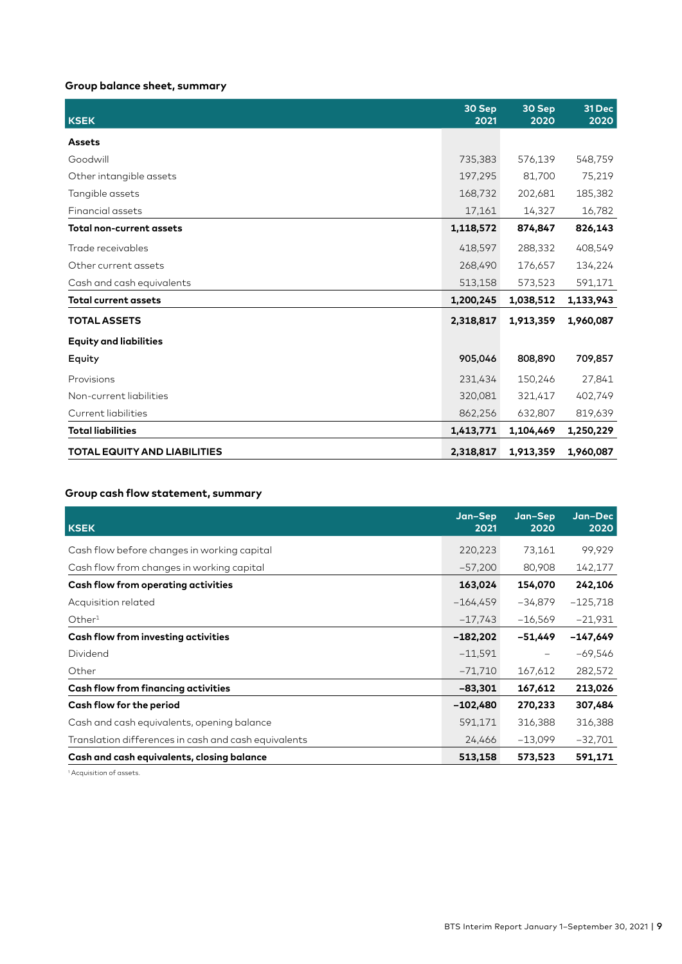# **Group balance sheet, summary**

| <b>KSEK</b>                         | 30 Sep<br>2021 | 30 Sep<br>2020 | 31 Dec<br>2020 |
|-------------------------------------|----------------|----------------|----------------|
| <b>Assets</b>                       |                |                |                |
| Goodwill                            | 735,383        | 576,139        | 548,759        |
| Other intangible assets             | 197,295        | 81,700         | 75,219         |
| Tangible assets                     | 168,732        | 202,681        | 185,382        |
| Financial assets                    | 17,161         | 14,327         | 16,782         |
| <b>Total non-current assets</b>     | 1,118,572      | 874,847        | 826,143        |
| Trade receivables                   | 418,597        | 288,332        | 408,549        |
| Other current assets                | 268,490        | 176,657        | 134,224        |
| Cash and cash equivalents           | 513,158        | 573,523        | 591,171        |
| <b>Total current assets</b>         | 1,200,245      | 1,038,512      | 1,133,943      |
| <b>TOTAL ASSETS</b>                 | 2,318,817      | 1,913,359      | 1,960,087      |
| <b>Equity and liabilities</b>       |                |                |                |
| Equity                              | 905,046        | 808,890        | 709,857        |
| Provisions                          | 231,434        | 150,246        | 27,841         |
| Non-current liabilities             | 320,081        | 321,417        | 402,749        |
| Current liabilities                 | 862,256        | 632,807        | 819,639        |
| <b>Total liabilities</b>            | 1,413,771      | 1,104,469      | 1,250,229      |
| <b>TOTAL EQUITY AND LIABILITIES</b> | 2,318,817      | 1,913,359      | 1,960,087      |

# **Group cash flow statement, summary**

| <b>KSEK</b>                                          | Jan-Sep<br>2021 | Jan-Sep<br>2020          | Jan-Dec<br>2020 |
|------------------------------------------------------|-----------------|--------------------------|-----------------|
| Cash flow before changes in working capital          | 220,223         | 73,161                   | 99,929          |
| Cash flow from changes in working capital            | $-57,200$       | 80,908                   | 142,177         |
| Cash flow from operating activities                  | 163,024         | 154,070                  | 242,106         |
| Acquisition related                                  | $-164,459$      | -34,879                  | $-125,718$      |
| Other <sup>1</sup>                                   | $-17,743$       | $-16,569$                | $-21,931$       |
| Cash flow from investing activities                  | $-182,202$      | $-51,449$                | $-147,649$      |
| Dividend                                             | $-11,591$       | $\overline{\phantom{0}}$ | $-69,546$       |
| Other                                                | $-71,710$       | 167,612                  | 282,572         |
| Cash flow from financing activities                  | $-83,301$       | 167,612                  | 213,026         |
| Cash flow for the period                             | $-102,480$      | 270,233                  | 307,484         |
| Cash and cash equivalents, opening balance           | 591,171         | 316,388                  | 316,388         |
| Translation differences in cash and cash equivalents | 24,466          | $-13,099$                | $-32,701$       |
| Cash and cash equivalents, closing balance           | 513,158         | 573,523                  | 591,171         |

1 Acquisition of assets.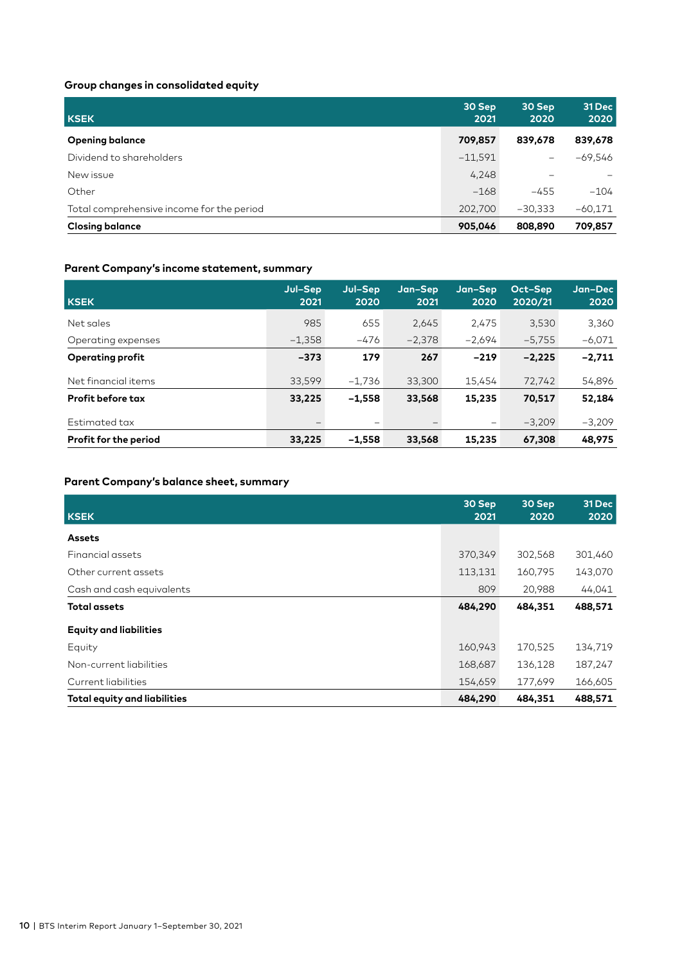# **Group changes in consolidated equity**

| <b>KSEK</b>                               | 30 Sep<br>2021 | 30 Sep<br>2020           | 31 Dec<br>2020 |
|-------------------------------------------|----------------|--------------------------|----------------|
| <b>Opening balance</b>                    | 709,857        | 839,678                  | 839,678        |
| Dividend to shareholders                  | $-11,591$      | $\overline{\phantom{0}}$ | $-69,546$      |
| New issue                                 | 4,248          |                          |                |
| Other                                     | $-168$         | $-455$                   | $-104$         |
| Total comprehensive income for the period | 202,700        | $-30,333$                | $-60,171$      |
| <b>Closing balance</b>                    | 905,046        | 808,890                  | 709,857        |

# **Parent Company's income statement, summary**

| <b>KSEK</b>              | Jul-Sep<br>2021          | Jul-Sep<br>2020 | Jan-Sep<br>2021   | Jan-Sep<br>2020   | Oct-Sep<br>2020/21 | Jan-Dec<br>2020 |
|--------------------------|--------------------------|-----------------|-------------------|-------------------|--------------------|-----------------|
| Net sales                | 985                      | 655             | 2.645             | 2,475             | 3,530              | 3,360           |
| Operating expenses       | $-1,358$                 | $-476$          | $-2.378$          | $-2.694$          | $-5.755$           | $-6,071$        |
| <b>Operating profit</b>  | $-373$                   | 179             | 267               | $-219$            | $-2,225$           | $-2,711$        |
| Net financial items      | 33,599                   | $-1.736$        | 33,300            | 15,454            | 72,742             | 54,896          |
| <b>Profit before tax</b> | 33,225                   | $-1.558$        | 33,568            | 15,235            | 70,517             | 52,184          |
| Estimated tax            | $\overline{\phantom{0}}$ | -               | $\qquad \qquad -$ | $\qquad \qquad -$ | $-3.209$           | $-3,209$        |
| Profit for the period    | 33,225                   | $-1.558$        | 33,568            | 15,235            | 67,308             | 48,975          |

# **Parent Company's balance sheet, summary**

| <b>KSEK</b>                         | 30 Sep<br>2021 | 30 Sep<br>2020 | 31 Dec<br>2020 |
|-------------------------------------|----------------|----------------|----------------|
| <b>Assets</b>                       |                |                |                |
| Financial assets                    | 370,349        | 302,568        | 301,460        |
| Other current assets                | 113,131        | 160,795        | 143,070        |
| Cash and cash equivalents           | 809            | 20,988         | 44,041         |
| <b>Total assets</b>                 | 484,290        | 484,351        | 488,571        |
| <b>Equity and liabilities</b>       |                |                |                |
| Equity                              | 160,943        | 170,525        | 134,719        |
| Non-current liabilities             | 168,687        | 136,128        | 187,247        |
| Current liabilities                 | 154,659        | 177,699        | 166,605        |
| <b>Total equity and liabilities</b> | 484,290        | 484,351        | 488,571        |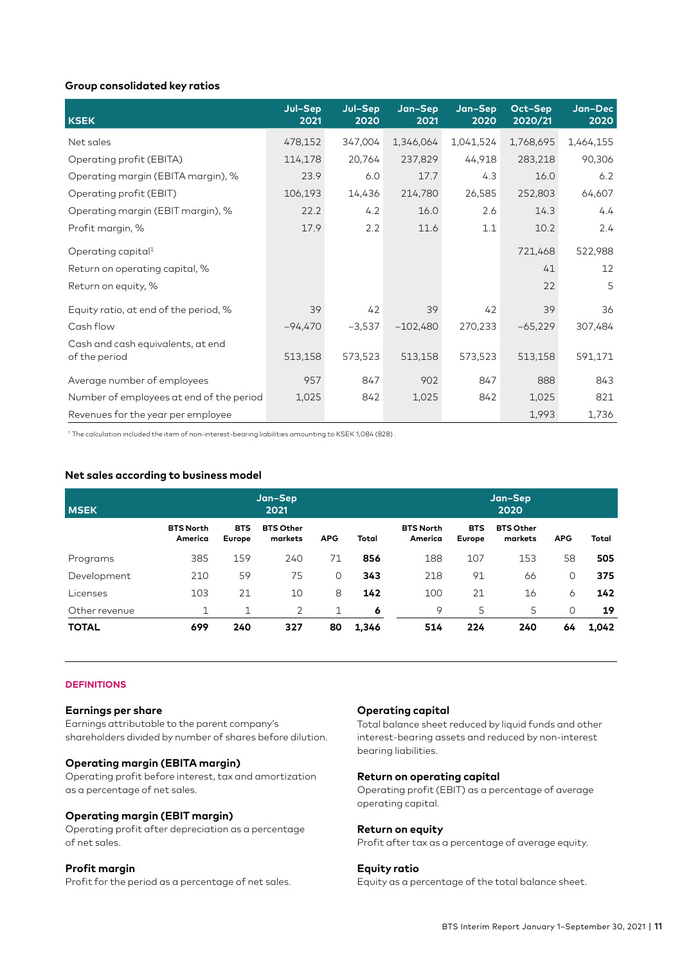# **Group consolidated key ratios**

| <b>KSEK</b>                                        | Jul-Sep<br>2021 | Jul-Sep<br>2020 | Jan-Sep<br>2021 | Jan-Sep<br>2020 | Oct-Sep<br>2020/21 | Jan-Dec<br>2020 |
|----------------------------------------------------|-----------------|-----------------|-----------------|-----------------|--------------------|-----------------|
| Net sales                                          | 478,152         | 347,004         | 1,346,064       | 1,041,524       | 1,768,695          | 1,464,155       |
| Operating profit (EBITA)                           | 114,178         | 20,764          | 237,829         | 44,918          | 283,218            | 90,306          |
| Operating margin (EBITA margin), %                 | 23.9            | 6.0             | 17.7            | 4.3             | 16.0               | 6.2             |
| Operating profit (EBIT)                            | 106,193         | 14,436          | 214,780         | 26,585          | 252,803            | 64,607          |
| Operating margin (EBIT margin), %                  | 22.2            | 4.2             | 16.0            | 2.6             | 14.3               | 4.4             |
| Profit margin, %                                   | 17.9            | 2.2             | 11.6            | 1.1             | 10.2               | 2.4             |
| Operating capital <sup>1</sup>                     |                 |                 |                 |                 | 721,468            | 522,988         |
| Return on operating capital, %                     |                 |                 |                 |                 | 41                 | 12              |
| Return on equity, %                                |                 |                 |                 |                 | 22                 | 5               |
| Equity ratio, at end of the period, %              | 39              | 42              | 39              | 42              | 39                 | 36              |
| Cash flow                                          | -94,470         | $-3,537$        | $-102,480$      | 270,233         | $-65,229$          | 307,484         |
| Cash and cash equivalents, at end<br>of the period | 513,158         | 573,523         | 513,158         | 573,523         | 513,158            | 591,171         |
| Average number of employees                        | 957             | 847             | 902             | 847             | 888                | 843             |
| Number of employees at end of the period           | 1,025           | 842             | 1,025           | 842             | 1,025              | 821             |
| Revenues for the year per employee                 |                 |                 |                 |                 | 1,993              | 1,736           |

1 The calculation included the item of non-interest-bearing liabilities amounting to KSEK 1,084 (828) .

# **Net sales according to business model**

| <b>MSEK</b>   | Jan-Sep<br>2021             |                      |                             |            |       |                             | Jan-Sep<br>2020      |                             |            |       |
|---------------|-----------------------------|----------------------|-----------------------------|------------|-------|-----------------------------|----------------------|-----------------------------|------------|-------|
|               | <b>BTS North</b><br>America | <b>BTS</b><br>Europe | <b>BTS Other</b><br>markets | <b>APG</b> | Total | <b>BTS North</b><br>America | <b>BTS</b><br>Europe | <b>BTS Other</b><br>markets | <b>APG</b> | Total |
| Programs      | 385                         | 159                  | 240                         | 71         | 856   | 188                         | 107                  | 153                         | 58         | 505   |
| Development   | 210                         | 59                   | 75                          | $\Omega$   | 343   | 218                         | 91                   | 66                          | 0          | 375   |
| Licenses      | 103                         | 21                   | 10                          | 8          | 142   | 100                         | 21                   | 16                          | 6          | 142   |
| Other revenue | 1                           | 1                    | 2                           | 1          | 6     | 9                           | 5                    | 5                           | 0          | 19    |
| <b>TOTAL</b>  | 699                         | 240                  | 327                         | 80         | 1,346 | 514                         | 224                  | 240                         | 64         | 1,042 |

# **DEFINITIONS**

### **Earnings per share**

Earnings attributable to the parent company's shareholders divided by number of shares before dilution.

# **Operating margin (EBITA margin)**

Operating profit before interest, tax and amortization as a percentage of net sales.

### **Operating margin (EBIT margin)**

Operating profit after depreciation as a percentage of net sales.

# **Profit margin**

Profit for the period as a percentage of net sales.

# **Operating capital**

Total balance sheet reduced by liquid funds and other interest-bearing assets and reduced by non-interest bearing liabilities.

#### **Return on operating capital**

Operating profit (EBIT) as a percentage of average operating capital.

# **Return on equity**

Profit after tax as a percentage of average equity.

# **Equity ratio**

Equity as a percentage of the total balance sheet.